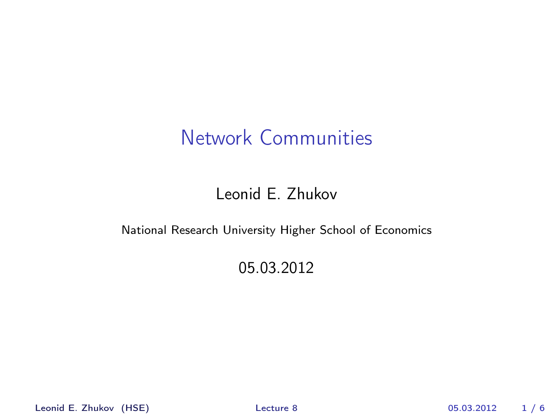### Leonid E. Zhukov

#### National Research University Higher School of Economics

#### <span id="page-0-0"></span>05.03.2012

Leonid E. Zhukov (HSE) [Lecture 8](#page-5-0) 05.03.2012 1 / 6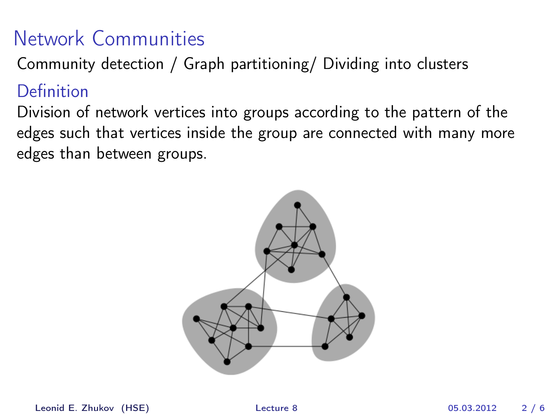Community detection / Graph partitioning/ Dividing into clusters

Definition

Division of network vertices into groups according to the pattern of the edges such that vertices inside the group are connected with many more edges than between groups.

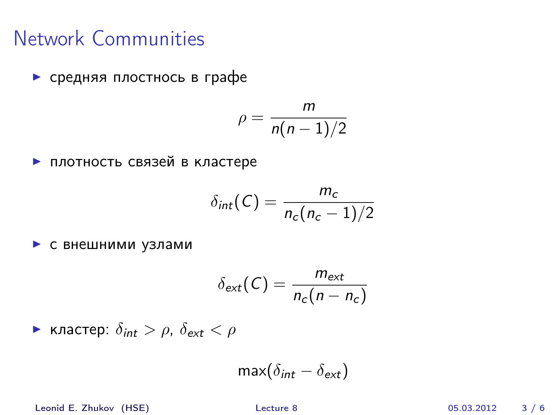<sup>I</sup> средняя плостнось в графе

$$
\rho = \frac{m}{n(n-1)/2}
$$

<sup>I</sup> плотность связей в кластере

$$
\delta_{int}(C) = \frac{m_c}{n_c(n_c-1)/2}
$$

<sup>I</sup> с внешними узлами

$$
\delta_{ext}(C) = \frac{m_{ext}}{n_c(n - n_c)}
$$

 $\blacktriangleright$  кластер:  $\delta_{int} > \rho$ ,  $\delta_{ext} < \rho$ 

$$
\max(\delta_{\text{int}} - \delta_{\text{ext}})
$$

Leonid E. Zhukov (HSE) [Lecture 8](#page-0-0) 05.03.2012 3 / 6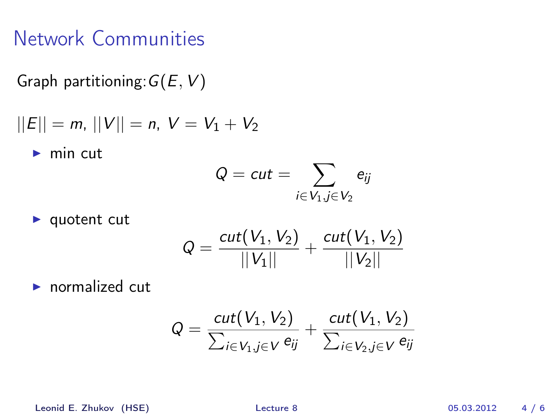Graph partitioning:  $G(E, V)$ 

$$
||E|| = m, ||V|| = n, V = V_1 + V_2
$$

 $\blacktriangleright$  min cut

$$
Q = cut = \sum_{i \in V_1, j \in V_2} e_{ij}
$$

$$
\blacktriangleright
$$
 quotient cut

$$
Q = \frac{cut(V_1, V_2)}{||V_1||} + \frac{cut(V_1, V_2)}{||V_2||}
$$

 $\blacktriangleright$  normalized cut

$$
Q = \frac{\text{cut}(V_1, V_2)}{\sum_{i \in V_1, j \in V} e_{ij}} + \frac{\text{cut}(V_1, V_2)}{\sum_{i \in V_2, j \in V} e_{ij}}
$$

Leonid E. Zhukov (HSE) [Lecture 8](#page-0-0) 05.03.2012 4 / 6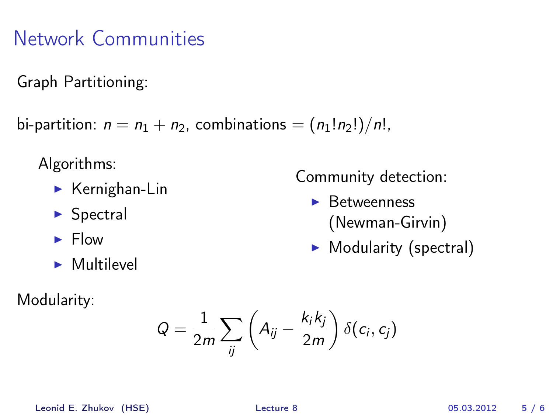Graph Partitioning:

bi-partition:  $n = n_1 + n_2$ , combinations =  $(n_1!n_2!)/n!$ ,

Algorithms:

- $\blacktriangleright$  Kernighan-Lin
- $\blacktriangleright$  Spectral
- $\blacktriangleright$  Flow
- $\blacktriangleright$  Multilevel

Modularity:

Community detection:

- $\blacktriangleright$  Betweenness (Newman-Girvin)
- $\blacktriangleright$  Modularity (spectral)

$$
Q = \frac{1}{2m} \sum_{ij} \left( A_{ij} - \frac{k_i k_j}{2m} \right) \delta(c_i, c_j)
$$

Leonid E. Zhukov (HSE) [Lecture 8](#page-0-0) 05.03.2012 5 / 6